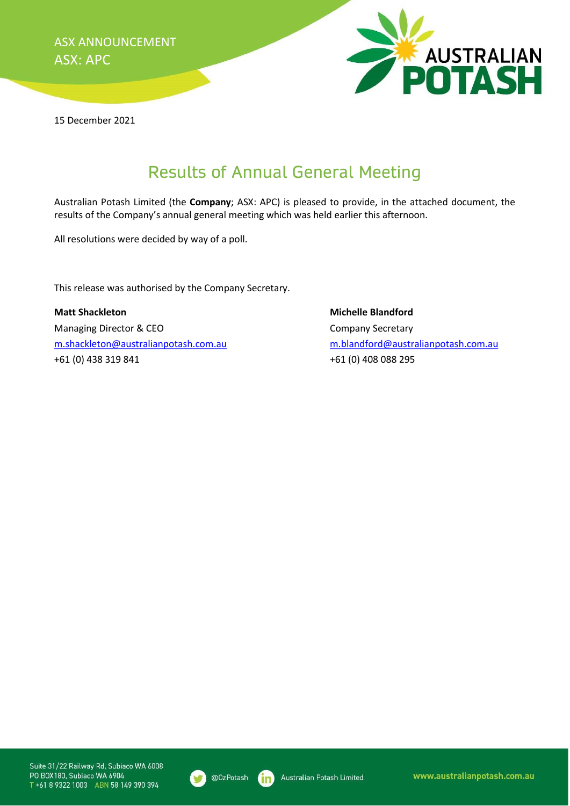ASX ANNOUNCEMENT ASX: APC



15 December 2021

## Results of Annual General Meeting

Australian Potash Limited (the Company; ASX: APC) is pleased to provide, in the attached document, the results of the Company's annual general meeting which was held earlier this afternoon.

All resolutions were decided by way of a poll.

This release was authorised by the Company Secretary.

Matt Shackleton Michelle Blandford Managing Director & CEO Company Secretary m.shackleton@australianpotash.com.au m.blandford@australianpotash.com.au +61 (0) 438 319 841 +61 (0) 408 088 295

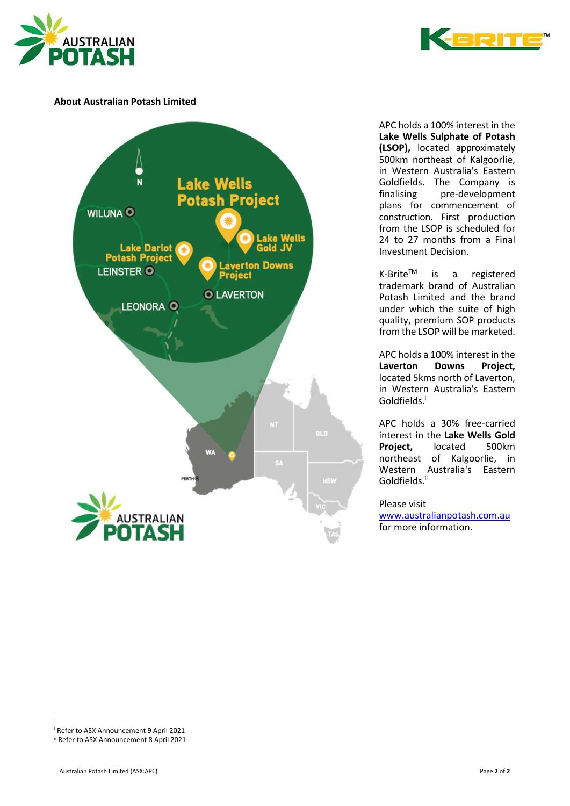## About Australian Potash Limited



APC holds a 100% interest in the Lake Wells Sulphate of Potash (LSOP), located approximately 500km northeast of Kalgoorlie, in Western Australia's Eastern Goldfields. The Company is finalising pre-development plans for commencement of construction. First production from the LSOP is scheduled for 24 to 27 months from a Final Investment Decision.

K-Brite<sup>™</sup> is a registered trademark brand of Australian Potash Limited and the brand under which the suite of high quality, premium SOP products from the LSOP will be marketed.

APC holds a 100% interest in the<br> **Laverton** Downs Project. Laverton Downs Project, located 5kms north of Laverton, in Western Australia's Eastern Goldfields.<sup>i</sup>

APC holds a 30% free-carried interest in the Lake Wells Gold<br>Proiect. located 500km Project. located northeast of Kalgoorlie, in Western Australia's Eastern Goldfields.<sup>ii</sup>

Please visit

www.australianpotash.com.au for more information.